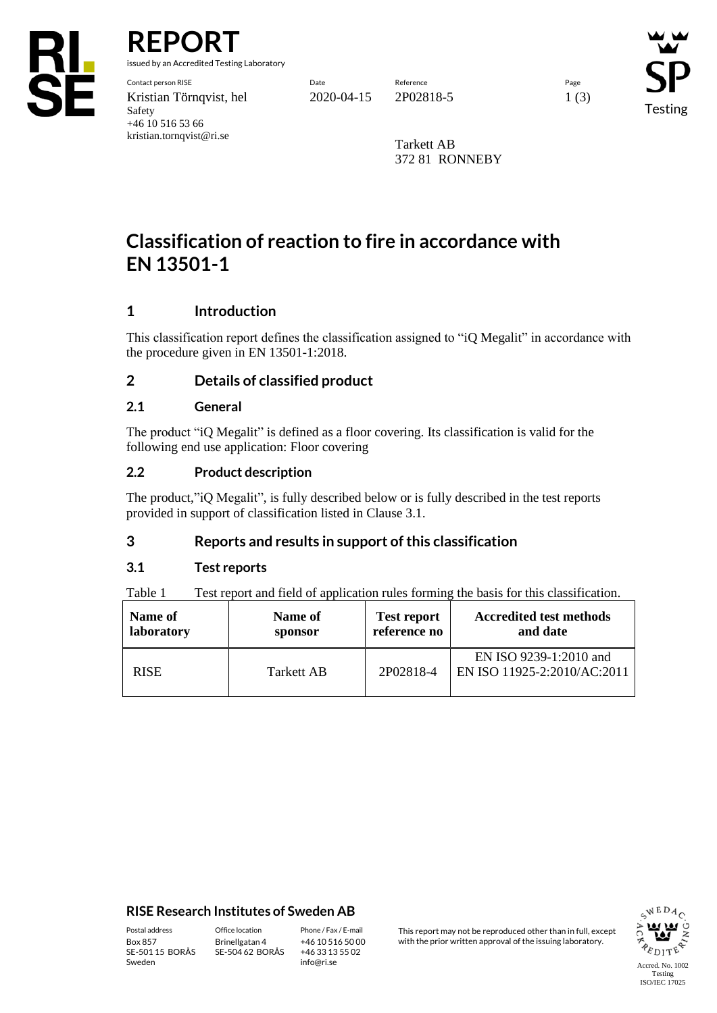

**REPORT**

issued by an Accredited Testing Laboratory

Contact person RISE Date Reference Page Kristian Törnqvist, hel 2020-04-15 2P02818-5 1 (3) Safety +46 10 516 53 66 kristian.tornqvist@ri.se

Testing

Tarkett AB 372 81 RONNEBY

# **Classification of reaction to fire in accordance with EN 13501-1**

# **1 Introduction**

This classification report defines the classification assigned to "iQ Megalit" in accordance with the procedure given in EN 13501-1:2018.

## **2 Details of classified product**

## **2.1 General**

The product "iQ Megalit" is defined as a floor covering. Its classification is valid for the following end use application: Floor covering

## **2.2 Product description**

The product,"iQ Megalit", is fully described below or is fully described in the test reports provided in support of classification listed in Clause 3.1.

## **3 Reports and results in support of this classification**

## **3.1 Test reports**

Table 1 Test report and field of application rules forming the basis for this classification.

| Name of     | Name of    | <b>Test report</b> | <b>Accredited test methods</b>                        |
|-------------|------------|--------------------|-------------------------------------------------------|
| laboratory  | sponsor    | reference no       | and date                                              |
| <b>RISE</b> | Tarkett AB | 2P02818-4          | EN ISO 9239-1:2010 and<br>EN ISO 11925-2:2010/AC:2011 |

### **RISE Research Institutes of Sweden AB**

SE-501 15 BORÅS Sweden

Brinellgatan 4 SE-504 62 BORÅS

+46 10 516 50 00 +46 33 13 55 02 info@ri.se

Postal address Office location Phone / Fax / E-mail This report may not be reproduced other than in full, except<br>Box 857 Brinellgatan 4 +46 10 516 50 00 with the prior written approval of the issuing laboratory. with the prior written approval of the issuing laboratory.

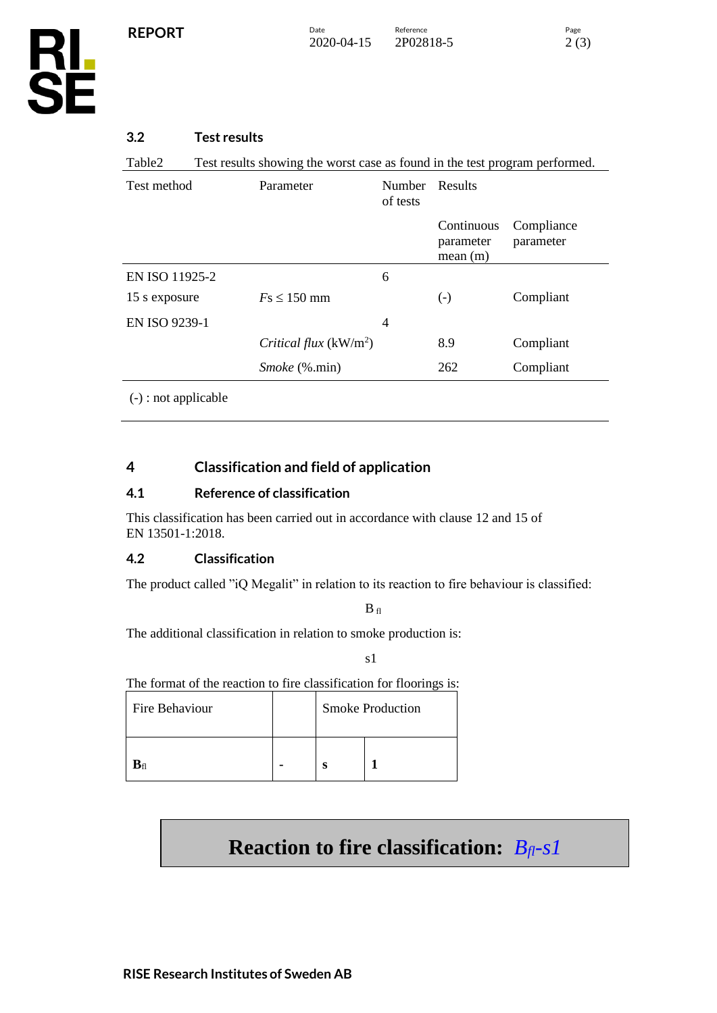

Table2 Test results showing the worst case as found in the test program performed.

| Test method                                                                                                                                                                                                                                                                             | Parameter               | <b>Number</b><br>of tests | Results                            |                         |  |
|-----------------------------------------------------------------------------------------------------------------------------------------------------------------------------------------------------------------------------------------------------------------------------------------|-------------------------|---------------------------|------------------------------------|-------------------------|--|
|                                                                                                                                                                                                                                                                                         |                         |                           | Continuous<br>parameter<br>mean(m) | Compliance<br>parameter |  |
| EN ISO 11925-2                                                                                                                                                                                                                                                                          |                         | 6                         |                                    |                         |  |
| 15 s exposure                                                                                                                                                                                                                                                                           | $Fs \leq 150$ mm        |                           | $\left( -\right)$                  | Compliant               |  |
| EN ISO 9239-1                                                                                                                                                                                                                                                                           |                         | $\overline{4}$            |                                    |                         |  |
|                                                                                                                                                                                                                                                                                         | Critical flux $(kW/m2)$ |                           | 8.9                                | Compliant               |  |
|                                                                                                                                                                                                                                                                                         | <i>Smoke</i> (%.min)    |                           | 262                                | Compliant               |  |
| $\sqrt{2}$ and $\sqrt{2}$ and $\sqrt{2}$ and $\sqrt{2}$ and $\sqrt{2}$ and $\sqrt{2}$ and $\sqrt{2}$ and $\sqrt{2}$ and $\sqrt{2}$ and $\sqrt{2}$ and $\sqrt{2}$ and $\sqrt{2}$ and $\sqrt{2}$ and $\sqrt{2}$ and $\sqrt{2}$ and $\sqrt{2}$ and $\sqrt{2}$ and $\sqrt{2}$ and $\sqrt{2$ |                         |                           |                                    |                         |  |

(-) : not applicable

# **4 Classification and field of application**

## **4.1 Reference of classification**

This classification has been carried out in accordance with clause 12 and 15 of EN 13501-1:2018.

### **4.2 Classification**

The product called "iQ Megalit" in relation to its reaction to fire behaviour is classified:

 $B_{fl}$ 

The additional classification in relation to smoke production is:

s1

The format of the reaction to fire classification for floorings is:

| Fire Behaviour |  | <b>Smoke Production</b> |  |  |
|----------------|--|-------------------------|--|--|
|                |  | ິ                       |  |  |

# **Reaction to fire classification:** *Bfl-s1*